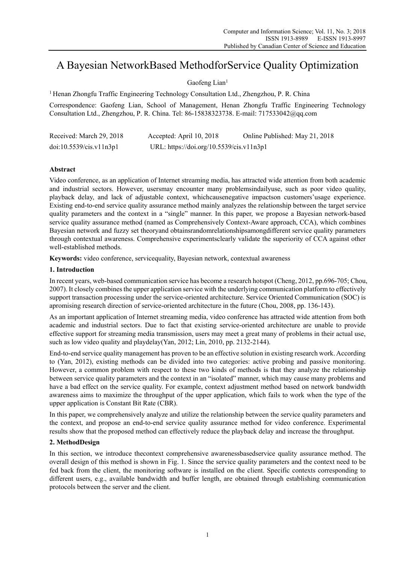# A Bayesian NetworkBased MethodforService Quality Optimization

Gaofeng Lian<sup>1</sup>

<sup>1</sup> Henan Zhongfu Traffic Engineering Technology Consultation Ltd., Zhengzhou, P. R. China

Correspondence: Gaofeng Lian, School of Management, Henan Zhongfu Traffic Engineering Technology Consultation Ltd., Zhengzhou, P. R. China. Tel: 86-15838323738. E-mail: 717533042@qq.com

| Received: March 29, 2018       | Accepted: April 10, 2018                 | Online Published: May 21, 2018 |
|--------------------------------|------------------------------------------|--------------------------------|
| $doi:10.5539/c$ is.vl ln $3p1$ | URL: https://doi.org/10.5539/cis.v11n3p1 |                                |

## **Abstract**

Video conference, as an application of Internet streaming media, has attracted wide attention from both academic and industrial sectors. However, usersmay encounter many problemsindailyuse, such as poor video quality, playback delay, and lack of adjustable context, whichcausenegative impactson customers'usage experience. Existing end-to-end service quality assurance method mainly analyzes the relationship between the target service quality parameters and the context in a "single" manner. In this paper, we propose a Bayesian network-based service quality assurance method (named as Comprehensively Context-Aware approach, CCA), which combines Bayesian network and fuzzy set theoryand obtainsrandomrelationshipsamongdifferent service quality parameters through contextual awareness. Comprehensive experimentsclearly validate the superiority of CCA against other well-established methods.

**Keywords:** video conference, servicequality, Bayesian network, contextual awareness

## **1. Introduction**

In recent years, web-based communication service has become a research hotspot (Cheng, 2012, pp.696-705; Chou, 2007). It closely combines the upper application service with the underlying communication platform to effectively support transaction processing under the service-oriented architecture. Service Oriented Communication (SOC) is apromising research direction of service-oriented architecture in the future (Chou, 2008, pp. 136-143).

As an important application of Internet streaming media, video conference has attracted wide attention from both academic and industrial sectors. Due to fact that existing service-oriented architecture are unable to provide effective support for streaming media transmission, users may meet a great many of problems in their actual use, such as low video quality and playdelay(Yan, 2012; Lin, 2010, pp. 2132-2144).

End-to-end service quality management has proven to be an effective solution in existing research work. According to (Yan, 2012), existing methods can be divided into two categories: active probing and passive monitoring. However, a common problem with respect to these two kinds of methods is that they analyze the relationship between service quality parameters and the context in an "isolated" manner, which may cause many problems and have a bad effect on the service quality. For example, context adjustment method based on network bandwidth awareness aims to maximize the throughput of the upper application, which fails to work when the type of the upper application is Constant Bit Rate (CBR).

In this paper, we comprehensively analyze and utilize the relationship between the service quality parameters and the context, and propose an end-to-end service quality assurance method for video conference. Experimental results show that the proposed method can effectively reduce the playback delay and increase the throughput.

## **2. MethodDesign**

In this section, we introduce thecontext comprehensive awarenessbasedservice quality assurance method. The overall design of this method is shown in Fig. 1. Since the service quality parameters and the context need to be fed back from the client, the monitoring software is installed on the client. Specific contexts corresponding to different users, e.g., available bandwidth and buffer length, are obtained through establishing communication protocols between the server and the client.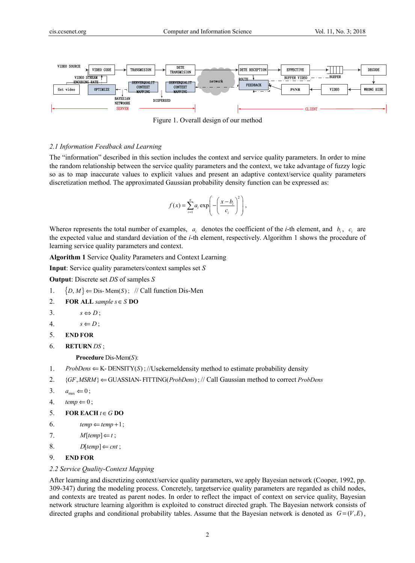

Figure 1. Overall design of our method

### *2.1 Information Feedback and Learning*

The "information" described in this section includes the context and service quality parameters. In order to mine the random relationship between the service quality parameters and the context, we take advantage of fuzzy logic so as to map inaccurate values to explicit values and present an adaptive context/service quality parameters discretization method. The approximated Gaussian probability density function can be expressed as:

$$
f(x) = \sum_{i=1}^{n} a_i \exp\left(-\left(\frac{x-b_i}{c_i}\right)^2\right),
$$

Where*n* represents the total number of examples,  $a_i$  denotes the coefficient of the *i*-th element, and  $b_i$ ,  $c_i$  are the expected value and standard deviation of the *i*-th element, respectively. Algorithm 1 shows the procedure of learning service quality parameters and context.

**Algorithm 1** Service Quality Parameters and Context Learning

**Input**: Service quality parameters/context samples set *S*

**Output**: Discrete set *DS* of samples *S*

- 1.  $\{D, M\} \leftarrow \text{Dis-Mem}(S)$ ; // Call function Dis-Men
- 2. **FOR ALL** sample  $s \in S$  **DO**
- 3.  $s \Leftrightarrow D$ :
- 4.  $s \Leftarrow D$ ;
- 5. **END FOR**
- 6. **RETURN** *DS* ;

**Procedure** Dis-Mem(S):

- 1. *ProbDens*  $\Leftarrow$  K-DENSITY(S); //Usekerneldensity method to estimate probability density
- 2. {GF, MSRM} ∈ GUASSIAN- FITTING(*ProbDens*); // Call Gaussian method to correct *ProbDens*
- 3.  $a_{\text{max}} \Leftarrow 0$ ;
- 4.  $temp \Leftarrow 0$ ;
- 5. **FOR EACH**  $t \in G$  **DO**
- 6.  $temp \Leftarrow temp + 1$ ;
- 7.  $M[temp] \Leftarrow t$ ;
- 8. *D*[ $temp$ ]  $\Leftarrow$  *cnt*;
- 9. **END FOR**

#### *2.2 Service Quality-Context Mapping*

After learning and discretizing context/service quality parameters, we apply Bayesian network (Cooper, 1992, pp. 309-347) during the modeling process. Concretely, targetservice quality parameters are regarded as child nodes, and contexts are treated as parent nodes. In order to reflect the impact of context on service quality, Bayesian network structure learning algorithm is exploited to construct directed graph. The Bayesian network consists of directed graphs and conditional probability tables. Assume that the Bayesian network is denoted as  $G = (V, E)$ ,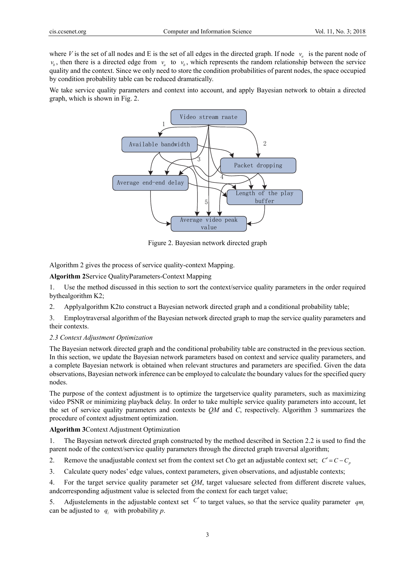where *V* is the set of all nodes and E is the set of all edges in the directed graph. If node  $v_a$  is the parent node of  $v<sub>b</sub>$ , then there is a directed edge from  $v<sub>a</sub>$  to  $v<sub>b</sub>$ , which represents the random relationship between the service quality and the context. Since we only need to store the condition probabilities of parent nodes, the space occupied by condition probability table can be reduced dramatically.

We take service quality parameters and context into account, and apply Bayesian network to obtain a directed graph, which is shown in Fig. 2.



Figure 2. Bayesian network directed graph

Algorithm 2 gives the process of service quality-context Mapping.

**Algorithm 2**Service QualityParameters-Context Mapping

1. Use the method discussed in this section to sort the context/service quality parameters in the order required bythealgorithm K2;

2. Applyalgorithm K2to construct a Bayesian network directed graph and a conditional probability table;

3. Employtraversal algorithm of the Bayesian network directed graph to map the service quality parameters and their contexts.

#### *2.3 Context Adjustment Optimization*

The Bayesian network directed graph and the conditional probability table are constructed in the previous section. In this section, we update the Bayesian network parameters based on context and service quality parameters, and a complete Bayesian network is obtained when relevant structures and parameters are specified. Given the data observations, Bayesian network inference can be employed to calculate the boundary values for the specified query nodes.

The purpose of the context adjustment is to optimize the targetservice quality parameters, such as maximizing video PSNR or minimizing playback delay. In order to take multiple service quality parameters into account, let the set of service quality parameters and contexts be *QM* and *C*, respectively. Algorithm 3 summarizes the procedure of context adjustment optimization.

**Algorithm 3**Context Adjustment Optimization

1. The Bayesian network directed graph constructed by the method described in Section 2.2 is used to find the parent node of the context/service quality parameters through the directed graph traversal algorithm;

2. Remove the unadjustable context set from the context set *C* to get an adjustable context set;  $C' = C - C_p$ 

3. Calculate query nodes' edge values, context parameters, given observations, and adjustable contexts;

4. For the target service quality parameter set *QM*, target valuesare selected from different discrete values, andcorresponding adjustment value is selected from the context for each target value;

5. Adjustelements in the adjustable context set  $C'$  to target values, so that the service quality parameter  $qm_i$ can be adjusted to  $q_i$  with probability p.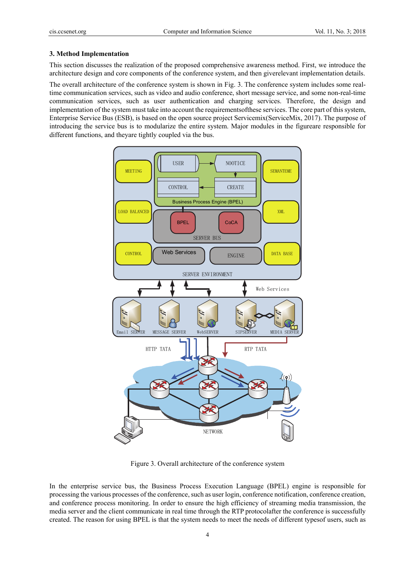#### **3. Method Implementation**

This section discusses the realization of the proposed comprehensive awareness method. First, we introduce the architecture design and core components of the conference system, and then giverelevant implementation details.

The overall architecture of the conference system is shown in Fig. 3. The conference system includes some realtime communication services, such as video and audio conference, short message service, and some non-real-time communication services, such as user authentication and charging services. Therefore, the design and implementation of the system must take into account the requirementsofthese services. The core part of this system, Enterprise Service Bus (ESB), is based on the open source project Servicemix(ServiceMix, 2017). The purpose of introducing the service bus is to modularize the entire system. Major modules in the figureare responsible for different functions, and theyare tightly coupled via the bus.



Figure 3. Overall architecture of the conference system

In the enterprise service bus, the Business Process Execution Language (BPEL) engine is responsible for processing the various processes of the conference, such as user login, conference notification, conference creation, and conference process monitoring. In order to ensure the high efficiency of streaming media transmission, the media server and the client communicate in real time through the RTP protocolafter the conference is successfully created. The reason for using BPEL is that the system needs to meet the needs of different typesof users, such as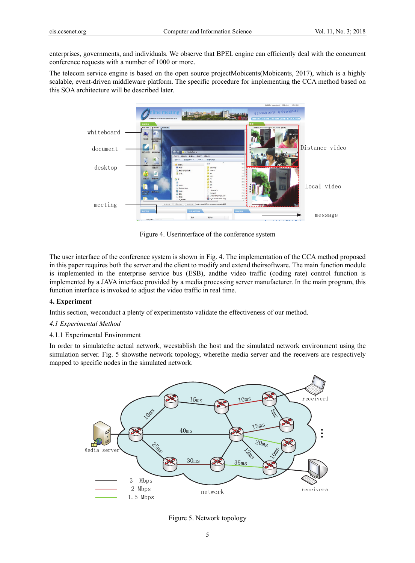enterprises, governments, and individuals. We observe that BPEL engine can efficiently deal with the concurrent conference requests with a number of 1000 or more.

The telecom service engine is based on the open source projectMobicents(Mobicents, 2017), which is a highly scalable, event-driven middleware platform. The specific procedure for implementing the CCA method based on this SOA architecture will be described later.



Figure 4. Userinterface of the conference system

The user interface of the conference system is shown in Fig. 4. The implementation of the CCA method proposed in this paper requires both the server and the client to modify and extend theirsoftware. The main function module is implemented in the enterprise service bus (ESB), andthe video traffic (coding rate) control function is implemented by a JAVA interface provided by a media processing server manufacturer. In the main program, this function interface is invoked to adjust the video traffic in real time.

## **4. Experiment**

Inthis section, weconduct a plenty of experimentsto validate the effectiveness of our method.

## *4.1 Experimental Method*

#### 4.1.1 Experimental Environment

In order to simulatethe actual network, weestablish the host and the simulated network environment using the simulation server. Fig. 5 showsthe network topology, wherethe media server and the receivers are respectively mapped to specific nodes in the simulated network.



Figure 5. Network topology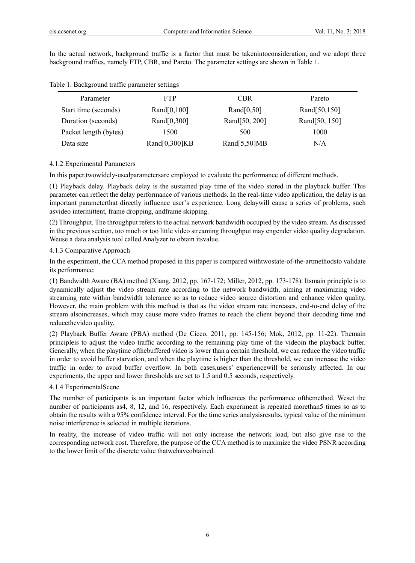In the actual network, background traffic is a factor that must be takenintoconsideration, and we adopt three background traffics, namely FTP, CBR, and Pareto. The parameter settings are shown in Table 1.

| Parameter             | FTP            | CBR             | Pareto        |
|-----------------------|----------------|-----------------|---------------|
| Start time (seconds)  | Rand $[0,100]$ | Rand $[0,50]$   | Rand[50,150]  |
| Duration (seconds)    | Rand $[0,300]$ | Rand[50, 200]   | Rand[50, 150] |
| Packet length (bytes) | 1500           | 500             | 1000          |
| Data size             | Rand[0,300]KB  | Rand $[5,50]MB$ | N/A           |

Table 1. Background traffic parameter settings

#### 4.1.2 Experimental Parameters

In this paper,twowidely-usedparametersare employed to evaluate the performance of different methods.

(1) Playback delay. Playback delay is the sustained play time of the video stored in the playback buffer. This parameter can reflect the delay performance of various methods. In the real-time video application, the delay is an important parameterthat directly influence user's experience. Long delaywill cause a series of problems, such asvideo intermittent, frame dropping, andframe skipping.

(2) Throughput. The throughput refers to the actual network bandwidth occupied by the video stream. As discussed in the previous section, too much or too little video streaming throughput may engender video quality degradation. Weuse a data analysis tool called Analyzer to obtain itsvalue.

#### 4.1.3 Comparative Approach

In the experiment, the CCA method proposed in this paper is compared withtwostate-of-the-artmethodsto validate its performance:

(1) Bandwidth Aware (BA) method (Xiang, 2012, pp. 167-172; Miller, 2012, pp. 173-178). Itsmain principle is to dynamically adjust the video stream rate according to the network bandwidth, aiming at maximizing video streaming rate within bandwidth tolerance so as to reduce video source distortion and enhance video quality. However, the main problem with this method is that as the video stream rate increases, end-to-end delay of the stream alsoincreases, which may cause more video frames to reach the client beyond their decoding time and reducethevideo quality.

(2) Playback Buffer Aware (PBA) method (De Cicco, 2011, pp. 145-156; Mok, 2012, pp. 11-22). Themain principleis to adjust the video traffic according to the remaining play time of the videoin the playback buffer. Generally, when the playtime ofthebuffered video is lower than a certain threshold, we can reduce the video traffic in order to avoid buffer starvation, and when the playtime is higher than the threshold, we can increase the video traffic in order to avoid buffer overflow. In both cases,users' experiencewill be seriously affected. In our experiments, the upper and lower thresholds are set to 1.5 and 0.5 seconds, respectively.

### 4.1.4 ExperimentalScene

The number of participants is an important factor which influences the performance ofthemethod. Weset the number of participants as4, 8, 12, and 16, respectively. Each experiment is repeated morethan5 times so as to obtain the results with a 95% confidence interval. For the time series analysisresults, typical value of the minimum noise interference is selected in multiple iterations.

In reality, the increase of video traffic will not only increase the network load, but also give rise to the corresponding network cost. Therefore, the purpose of the CCA method is to maximize the video PSNR according to the lower limit of the discrete value thatwehaveobtained.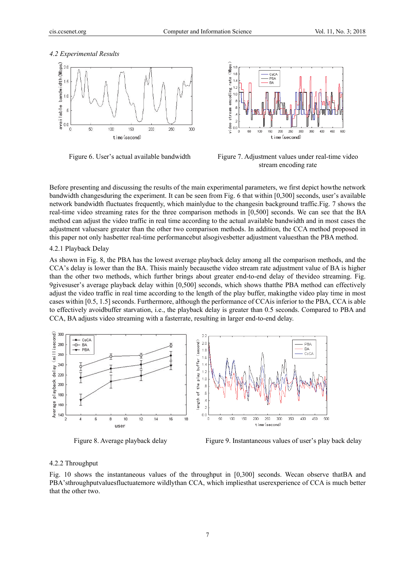#### *4.2 Experimental Results*





Figure 6. User's actual available bandwidth Figure 7. Adjustment values under real-time video stream encoding rate

Before presenting and discussing the results of the main experimental parameters, we first depict howthe network bandwidth changesduring the experiment. It can be seen from Fig. 6 that within [0,300] seconds, user's available network bandwidth fluctuates frequently, which mainlydue to the changesin background traffic.Fig. 7 shows the real-time video streaming rates for the three comparison methods in [0,500] seconds. We can see that the BA method can adjust the video traffic in real time according to the actual available bandwidth and in most cases the adjustment valuesare greater than the other two comparison methods. In addition, the CCA method proposed in this paper not only hasbetter real-time performancebut alsogivesbetter adjustment valuesthan the PBA method.

## 4.2.1 Playback Delay

As shown in Fig. 8, the PBA has the lowest average playback delay among all the comparison methods, and the CCA's delay is lower than the BA. Thisis mainly becausethe video stream rate adjustment value of BA is higher than the other two methods, which further brings about greater end-to-end delay of thevideo streaming. Fig. 9givesuser's average playback delay within [0,500] seconds, which shows thatthe PBA method can effectively adjust the video traffic in real time according to the length of the play buffer, makingthe video play time in most cases within [0.5, 1.5] seconds. Furthermore, although the performance of CCAis inferior to the PBA, CCA is able to effectively avoidbuffer starvation, i.e., the playback delay is greater than 0.5 seconds. Compared to PBA and CCA, BA adjusts video streaming with a fasterrate, resulting in larger end-to-end delay.



Figure 8. Average playback delay Figure 9. Instantaneous values of user's play back delay

#### 4.2.2 Throughput

Fig. 10 shows the instantaneous values of the throughput in [0,300] seconds. Wecan observe thatBA and PBA'sthroughputvaluesfluctuatemore wildlythan CCA, which impliesthat userexperience of CCA is much better that the other two.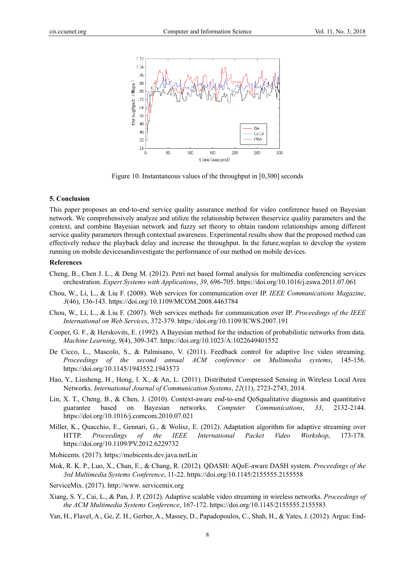

Figure 10. Instantaneous values of the throughput in [0,300] seconds

#### **5. Conclusion**

This paper proposes an end-to-end service quality assurance method for video conference based on Bayesian network. We comprehensively analyze and utilize the relationship between theservice quality parameters and the context, and combine Bayesian network and fuzzy set theory to obtain random relationships among different service quality parameters through contextual awareness. Experimental results show that the proposed method can effectively reduce the playback delay and increase the throughput. In the future,weplan to develop the system running on mobile devicesandinvestigate the performance of our method on mobile devices.

#### **References**

- Cheng, B., Chen J. L., & Deng M. (2012). Petri net based formal analysis for multimedia conferencing services orchestration. *Expert Systems with Applications*, *39*, 696-705. https://doi.org/10.1016/j.eswa.2011.07.061
- Chou, W., Li, L., & Liu F. (2008). Web services for communication over IP. *IEEE Communications Magazine*, *3*(46), 136-143. https://doi.org/10.1109/MCOM.2008.4463784
- Chou, W., Li, L., & Liu F. (2007). Web services methods for communication over IP. *Proceedings of the IEEE International on Web Services*, 372-379. https://doi.org/10.1109/ICWS.2007.191
- Cooper, G. F., & Herskovits, E. (1992). A Bayesian method for the induction of probabilistic networks from data. *Machine Learning*, *9*(4), 309-347. https://doi.org/10.1023/A:1022649401552
- De Cicco, L., Mascolo, S., & Palmisano, V. (2011). Feedback control for adaptive live video streaming. *Proceedings of the second annual ACM conference on Multimedia systems*, 145-156. https://doi.org/10.1145/1943552.1943573
- Hao, Y., Liusheng, H., Hong, l. X., & An, L. (2011). Distributed Compressed Sensing in Wireless Local Area Networks. *International Journal of Communication Systems*, *22*(11), 2723-2743, 2014.
- Lin, X. T., Cheng, B., & Chen, J. (2010). Context-aware end-to-end QoSqualitative diagnosis and quantitative guarantee based on Bayesian networks. *Computer Communications*, *33*, 2132-2144. https://doi.org/10.1016/j.comcom.2010.07.021
- Miller, K., Quacchio, E., Gennari, G., & Wolisz, E. (2012). Adaptation algorithm for adaptive streaming over HTTP. *Proceedings of the IEEE International Packet Video Workshop*, 173-178. https://doi.org/10.1109/PV.2012.6229732
- Mobicents. (2017). https://mobicents.dev.java.netLin
- Mok, R. K. P., Luo, X., Chan, E., & Chang, R. (2012). QDASH: AQoE-aware DASH system. *Proceedings of the 3rd Multimedia Systems Conference*, 11-22. https://doi.org/10.1145/2155555.2155558
- ServiceMix. (2017). http://www. servicemix.org
- Xiang, S. Y., Cai, L., & Pan, J. P. (2012). Adaptive scalable video streaming in wireless networks. *Proceedings of the ACM Multimedia Systems Conference*, 167-172. https://doi.org/10.1145/2155555.2155583
- Yan, H., Flavel, A., Ge, Z. H., Gerber, A., Massey, D., Papadopoulos, C., Shah, H., & Yates, J. (2012). Argus: End-